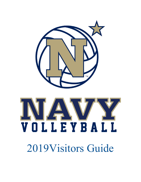

# NI/A VOLLEYBALL

2019Visitors Guide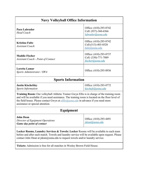| <b>Navy Volleyball Office Information</b>                                                                                                                                                                                                                                                                                         |                                                                     |
|-----------------------------------------------------------------------------------------------------------------------------------------------------------------------------------------------------------------------------------------------------------------------------------------------------------------------------------|---------------------------------------------------------------------|
| Paco Labrador<br><b>Head Coach</b>                                                                                                                                                                                                                                                                                                | Office: (410)-293-8742<br>Cell: (937)-360-6566<br>labrador@usna.edu |
| <b>Kristina Fultz</b><br><b>Assistant Coach</b>                                                                                                                                                                                                                                                                                   | Office: (410)-293-8742<br>Cell: (513)-403-8528<br>fultz@usna.edu    |
| <b>Maddie Fischer</b><br><b>Assistant Coach - Point of Contact</b>                                                                                                                                                                                                                                                                | Office: (410)-293-8737<br>Cell: (330)-771-7889<br>fischer@usna.edu  |
| <b>Loretta Lamar</b><br>Sports Administrator / SWA                                                                                                                                                                                                                                                                                | Office: (410)-293-8936                                              |
| <b>Sports Information</b>                                                                                                                                                                                                                                                                                                         |                                                                     |
| <b>Justin Kischefsky</b><br><b>Sports Information</b>                                                                                                                                                                                                                                                                             | Office: (410)-293-8772<br>kischefs@usna.edu                         |
| Training Room: Our volleyball Athletic Trainer Gwyn Ellis is in charge of the training room<br>and will be available if you need assistance. The training room is located on the floor level of<br>the field house. Please contact Gwyn at <i>elllis@usna.edu</i> in advance if you need more<br>assistance or special attention. |                                                                     |
| Equipment                                                                                                                                                                                                                                                                                                                         |                                                                     |
| <b>John Dean</b><br>Director of Equipment Operations<br><b>Game day point of contact</b>                                                                                                                                                                                                                                          | Office: (410)-293-4491<br><u>idean@usna.edu</u>                     |
| Locker Rooms, Laundry Services & Towels: Locker Rooms will be available to each team<br>before and after each match. Towels and laundry service will be available upon request. Please<br>contact John Dean at jdean@usna.edu to request towels and/or laundry service.                                                           |                                                                     |

**Tickets:** Admission is free for all matches in Wesley Brown Field House.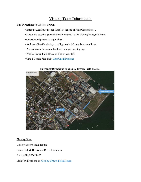# **Visiting Team Information**

## **Bus Directions to Wesley Brown:**

- Enter the Academy through Gate 1 at the end of King George Street.
- Stop at the security gate and identify yourself as the Visiting Volleyball Team.
- Once cleared proceed straight ahead.
- At the small traffic circle you will go to the left onto Brownson Road.
- Proceed down Brownson Road until you get to a stop sign.
- Wesley Brown Field House will be on your left.
- Gate 1 Google Map link: Gate One [Directions](https://goo.gl/maps/c7vffknCrQA2)



#### **Entrance/Directions to Wesley Brown Field House:**

## **Playing Site:**

Wesley Brown Field House Santee Rd. & Brownson Rd. Intersection Annapolis, MD 21402 Link for directions to [Wesley Brown Field House](https://www.google.com/maps/place/Wesley+Brown+Field+House/@38.9817988,-76.4820703,17z/data=!4m12!1m6!3m5!1s0x89b7f64834ec534b:0x1732779243665fbe!2sWesley+Brown+Field+House!8m2!3d38.9817988!4d-76.4798816!3m4!1s0x89b7f64834ec534b:0x1732779243665fbe!8m2!3d38.9817988!4d-76.4798816?shorturl=1)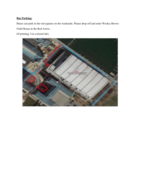## **Bus Parking:**

Buses can park in the red squares on the weekends. Please drop off and enter Wesley Brown Field House at the Red Arrow.

(If printing: Use colored ink)

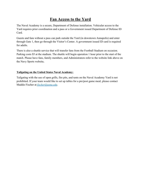# **Fan Access to the Yard**

The Naval Academy is a secure, Department of Defense installation. Vehicular access to the Yard requires prior coordination and a pass or a Government issued Department of Defense ID Card.

Guests and fans without a pass can park outside the Yard (in downtown Annapolis) and enter through Gate 1, then go through the Visitor's Center. A government issued ID card is required for adults.

There is also a shuttle service that will transfer fans from the Football Stadium on occasion. Parking costs \$5 at the stadium. The shuttle will begin operation 1 hour prior to the start of the match. Please have fans, family members, and Administrators refer to the website link above on the Navy Sports website**.**

## **Tailgating on the United States Naval Academy:**

Tailgating with the use of open grills, fire pits, and tents on the Naval Academy Yard is not prohibited. If your team would like to set up tables for a pre/post game meal, please contact Maddie Fischer at *fischer@usna.edu*.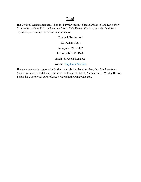## **Food**

The Drydock Restaurant is located on the Naval Academy Yard in Dahlgren Hall just a short distance from Alumni Hall and Wesley Brown Field House. You can pre-order food from Drydock by contacting the following information:

## **Drydock Restaurant**

103 Fullam Court Annapolis, MD 21402 Phone: (410)-293-5269. Email - drydock@usna.edu Website: [Dry Dock Website](http://www.usnabsd.com/naval-academy-dining/drydock/)

There are many other options for food just outside the Naval Academy Yard in downtown Annapolis. Many will deliver to the Visitor's Center at Gate 1, Alumni Hall or Wesley Brown, attached is a sheet with our preferred vendors in the Annapolis area.